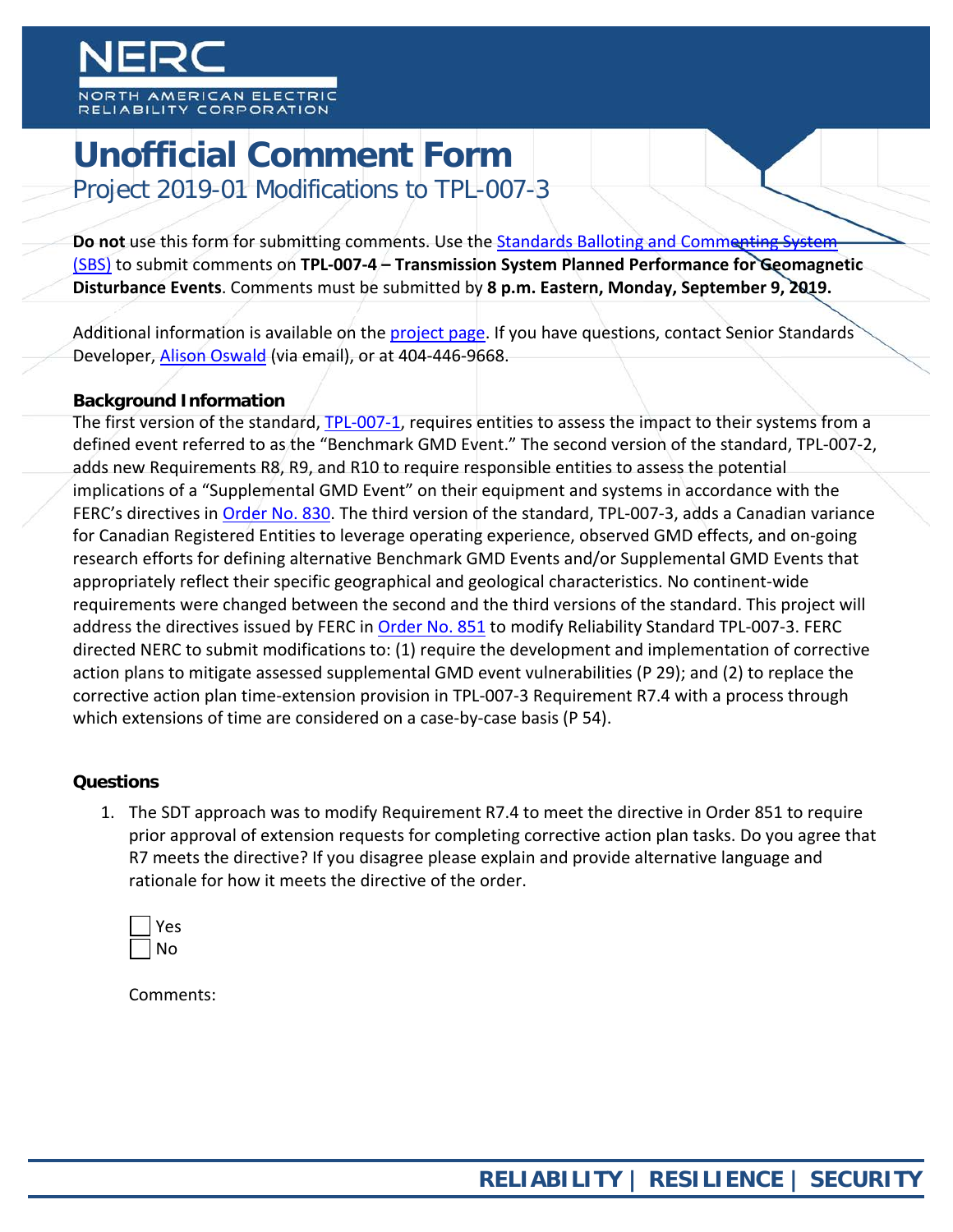# **Unofficial Comment Form**

Project 2019-01 Modifications to TPL-007-3

Do not use this form for submitting comments. Use the **Standards Balloting and Commenting System** [\(SBS\)](https://sbs.nerc.net/) to submit comments on **TPL-007-4 – Transmission System Planned Performance for Geomagnetic Disturbance Events**. Comments must be submitted by **8 p.m. Eastern, Monday, September 9, 2019.**

Additional information is available on the [project page.](https://www.nerc.com/pa/Stand/Pages/Project2019-01ModificationstoTPL-007-3.aspx) If you have questions, contact Senior Standards Developer, [Alison Oswald](mailto:alison.oswald@nerc.net) (via email), or at 404-446-9668.

# **Background Information**

The first version of the standard, [TPL-007-1,](http://www.nerc.com/_layouts/PrintStandard.aspx?standardnumber=TPL-007-1&title=Transmission%20System%20Planned%20Performance%20for%20Geomagnetic%20Disturbance%20Events) requires entities to assess the impact to their systems from a defined event referred to as the "Benchmark GMD Event." The second version of the standard, TPL-007-2, adds new Requirements R8, R9, and R10 to require responsible entities to assess the potential implications of a "Supplemental GMD Event" on their equipment and systems in accordance with the FERC's directives in [Order No. 830.](http://www.nerc.com/filingsorders/us/FERCOrdersRules/E-4.pdf) The third version of the standard, TPL-007-3, adds a Canadian variance for Canadian Registered Entities to leverage operating experience, observed GMD effects, and on-going research efforts for defining alternative Benchmark GMD Events and/or Supplemental GMD Events that appropriately reflect their specific geographical and geological characteristics. No continent-wide requirements were changed between the second and the third versions of the standard. This project will address the directives issued by FERC in [Order No. 851](https://www.nerc.com/FilingsOrders/us/FERCOrdersRules/E-3_Order%20No%20851.pdf) to modify Reliability Standard TPL-007-3. FERC directed NERC to submit modifications to: (1) require the development and implementation of corrective action plans to mitigate assessed supplemental GMD event vulnerabilities (P 29); and (2) to replace the corrective action plan time-extension provision in TPL-007-3 Requirement R7.4 with a process through which extensions of time are considered on a case-by-case basis (P 54).

### **Questions**

1. The SDT approach was to modify Requirement R7.4 to meet the directive in Order 851 to require prior approval of extension requests for completing corrective action plan tasks. Do you agree that R7 meets the directive? If you disagree please explain and provide alternative language and rationale for how it meets the directive of the order.

| c<br>− |
|--------|
| Λ<br>ר |

Comments: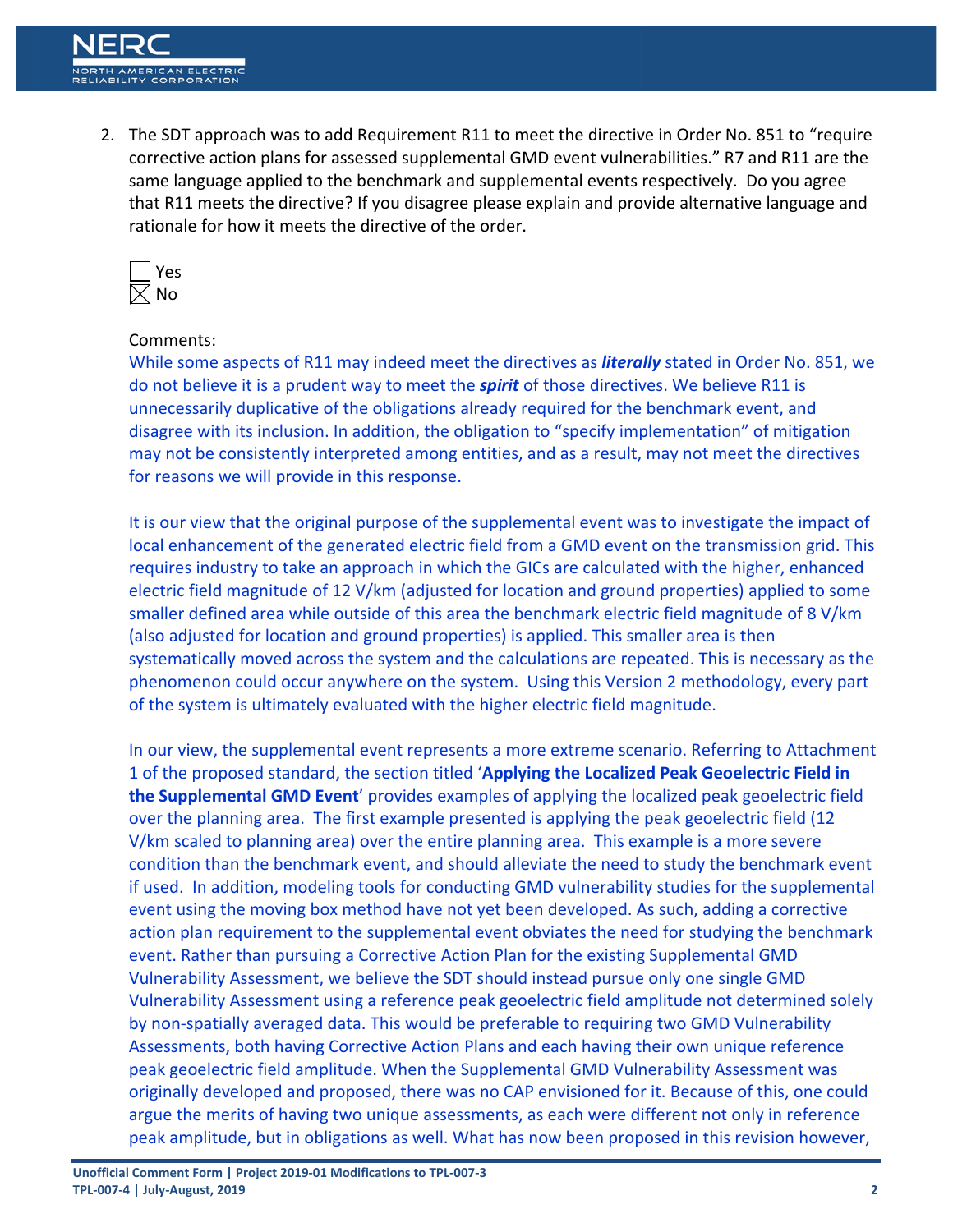2. The SDT approach was to add Requirement R11 to meet the directive in Order No. 851 to "require corrective action plans for assessed supplemental GMD event vulnerabilities." R7 and R11 are the same language applied to the benchmark and supplemental events respectively. Do you agree that R11 meets the directive? If you disagree please explain and provide alternative language and rationale for how it meets the directive of the order.



### Comments:

While some aspects of R11 may indeed meet the directives as *literally* stated in Order No. 851, we do not believe it is a prudent way to meet the *spirit* of those directives. We believe R11 is unnecessarily duplicative of the obligations already required for the benchmark event, and disagree with its inclusion. In addition, the obligation to "specify implementation" of mitigation may not be consistently interpreted among entities, and as a result, may not meet the directives for reasons we will provide in this response.

It is our view that the original purpose of the supplemental event was to investigate the impact of local enhancement of the generated electric field from a GMD event on the transmission grid. This requires industry to take an approach in which the GICs are calculated with the higher, enhanced electric field magnitude of 12 V/km (adjusted for location and ground properties) applied to some smaller defined area while outside of this area the benchmark electric field magnitude of 8 V/km (also adjusted for location and ground properties) is applied. This smaller area is then systematically moved across the system and the calculations are repeated. This is necessary as the phenomenon could occur anywhere on the system. Using this Version 2 methodology, every part of the system is ultimately evaluated with the higher electric field magnitude.

In our view, the supplemental event represents a more extreme scenario. Referring to Attachment 1 of the proposed standard, the section titled '**Applying the Localized Peak Geoelectric Field in the Supplemental GMD Event**' provides examples of applying the localized peak geoelectric field over the planning area. The first example presented is applying the peak geoelectric field (12 V/km scaled to planning area) over the entire planning area. This example is a more severe condition than the benchmark event, and should alleviate the need to study the benchmark event if used. In addition, modeling tools for conducting GMD vulnerability studies for the supplemental event using the moving box method have not yet been developed. As such, adding a corrective action plan requirement to the supplemental event obviates the need for studying the benchmark event. Rather than pursuing a Corrective Action Plan for the existing Supplemental GMD Vulnerability Assessment, we believe the SDT should instead pursue only one single GMD Vulnerability Assessment using a reference peak geoelectric field amplitude not determined solely by non-spatially averaged data. This would be preferable to requiring two GMD Vulnerability Assessments, both having Corrective Action Plans and each having their own unique reference peak geoelectric field amplitude. When the Supplemental GMD Vulnerability Assessment was originally developed and proposed, there was no CAP envisioned for it. Because of this, one could argue the merits of having two unique assessments, as each were different not only in reference peak amplitude, but in obligations as well. What has now been proposed in this revision however,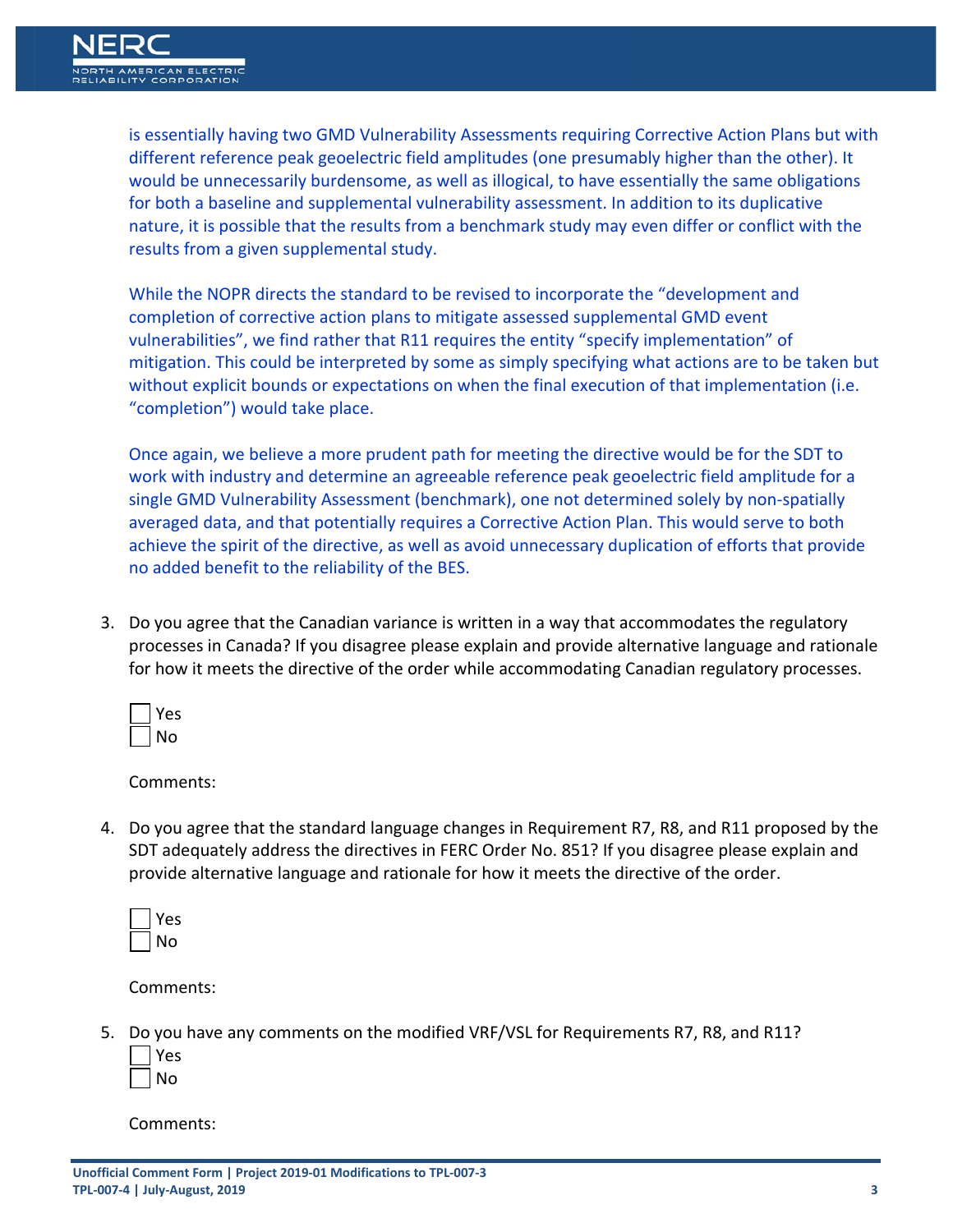is essentially having two GMD Vulnerability Assessments requiring Corrective Action Plans but with different reference peak geoelectric field amplitudes (one presumably higher than the other). It would be unnecessarily burdensome, as well as illogical, to have essentially the same obligations for both a baseline and supplemental vulnerability assessment. In addition to its duplicative nature, it is possible that the results from a benchmark study may even differ or conflict with the results from a given supplemental study.

While the NOPR directs the standard to be revised to incorporate the "development and completion of corrective action plans to mitigate assessed supplemental GMD event vulnerabilities", we find rather that R11 requires the entity "specify implementation" of mitigation. This could be interpreted by some as simply specifying what actions are to be taken but without explicit bounds or expectations on when the final execution of that implementation (i.e. "completion") would take place.

Once again, we believe a more prudent path for meeting the directive would be for the SDT to work with industry and determine an agreeable reference peak geoelectric field amplitude for a single GMD Vulnerability Assessment (benchmark), one not determined solely by non-spatially averaged data, and that potentially requires a Corrective Action Plan. This would serve to both achieve the spirit of the directive, as well as avoid unnecessary duplication of efforts that provide no added benefit to the reliability of the BES.

3. Do you agree that the Canadian variance is written in a way that accommodates the regulatory processes in Canada? If you disagree please explain and provide alternative language and rationale for how it meets the directive of the order while accommodating Canadian regulatory processes.

| c |
|---|
|   |

Comments:

4. Do you agree that the standard language changes in Requirement R7, R8, and R11 proposed by the SDT adequately address the directives in FERC Order No. 851? If you disagree please explain and provide alternative language and rationale for how it meets the directive of the order.

| ς<br>۴ |
|--------|
| n<br>Λ |

Comments:

5. Do you have any comments on the modified VRF/VSL for Requirements R7, R8, and R11?

| c       |
|---------|
| J.<br>ר |

Comments: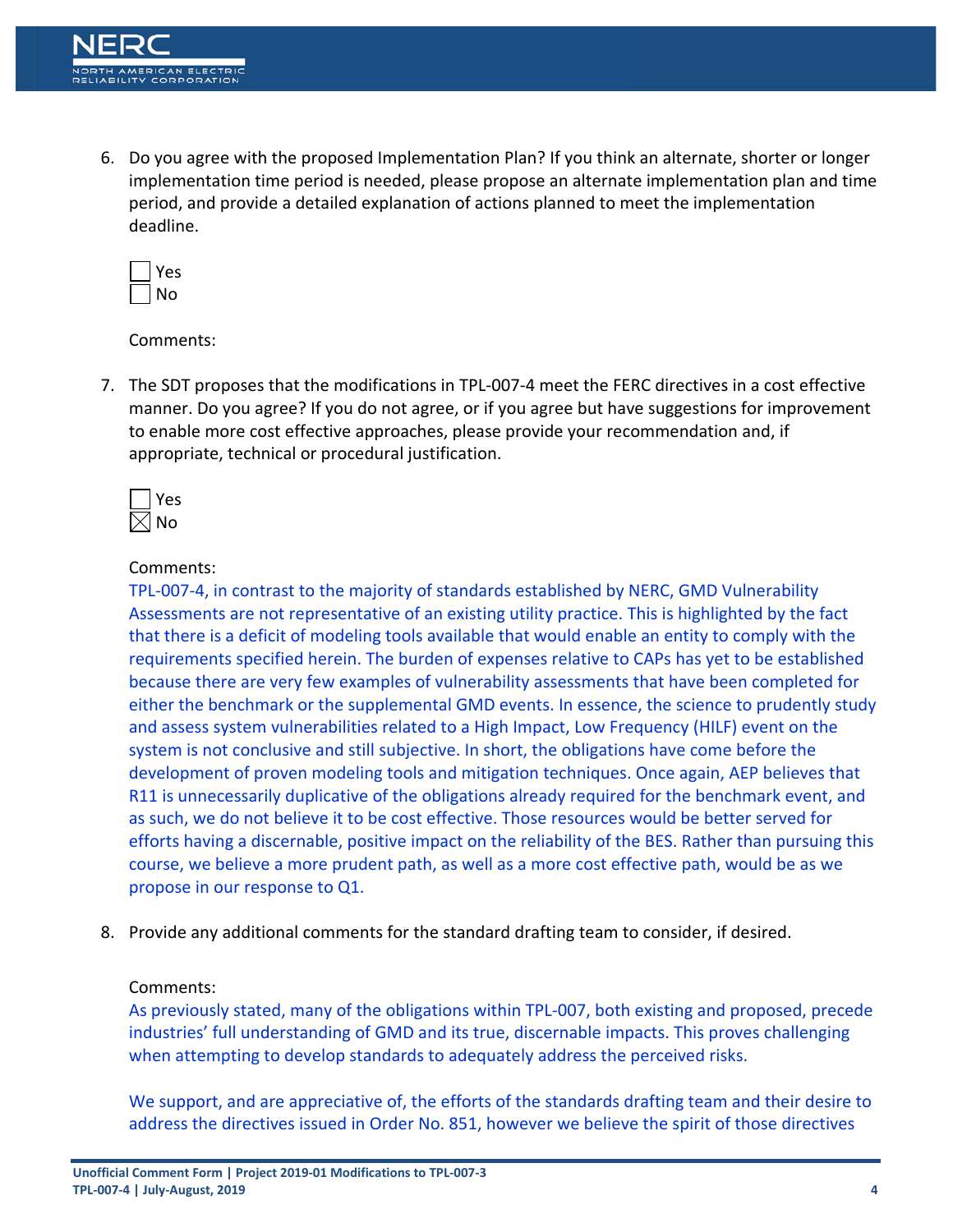6. Do you agree with the proposed Implementation Plan? If you think an alternate, shorter or longer implementation time period is needed, please propose an alternate implementation plan and time period, and provide a detailed explanation of actions planned to meet the implementation deadline.

| ς<br>и<br>═ |
|-------------|
| 4<br>٦      |

Comments:

7. The SDT proposes that the modifications in TPL-007-4 meet the FERC directives in a cost effective manner. Do you agree? If you do not agree, or if you agree but have suggestions for improvement to enable more cost effective approaches, please provide your recommendation and, if appropriate, technical or procedural justification.



# Comments:

TPL-007-4, in contrast to the majority of standards established by NERC, GMD Vulnerability Assessments are not representative of an existing utility practice. This is highlighted by the fact that there is a deficit of modeling tools available that would enable an entity to comply with the requirements specified herein. The burden of expenses relative to CAPs has yet to be established because there are very few examples of vulnerability assessments that have been completed for either the benchmark or the supplemental GMD events. In essence, the science to prudently study and assess system vulnerabilities related to a High Impact, Low Frequency (HILF) event on the system is not conclusive and still subjective. In short, the obligations have come before the development of proven modeling tools and mitigation techniques. Once again, AEP believes that R11 is unnecessarily duplicative of the obligations already required for the benchmark event, and as such, we do not believe it to be cost effective. Those resources would be better served for efforts having a discernable, positive impact on the reliability of the BES. Rather than pursuing this course, we believe a more prudent path, as well as a more cost effective path, would be as we propose in our response to Q1.

8. Provide any additional comments for the standard drafting team to consider, if desired.

### Comments:

As previously stated, many of the obligations within TPL-007, both existing and proposed, precede industries' full understanding of GMD and its true, discernable impacts. This proves challenging when attempting to develop standards to adequately address the perceived risks.

We support, and are appreciative of, the efforts of the standards drafting team and their desire to address the directives issued in Order No. 851, however we believe the spirit of those directives